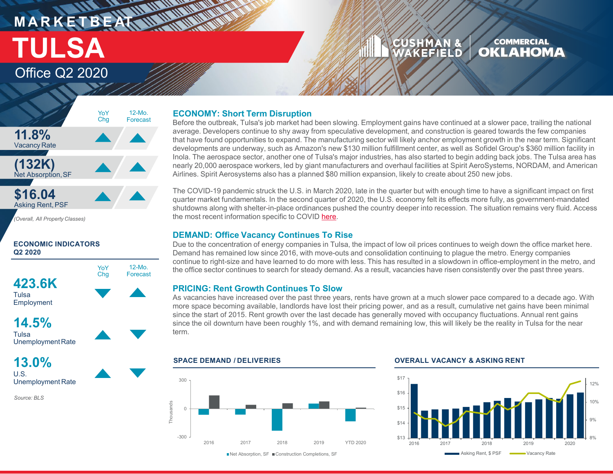## **MARKETBEATTING MORTLAND** Office Q2 2020 **TULSA**

#### CUSHMAN & **COMMERCIAL OKLAHOMA** WAKEFIELD

### **11.8%** Vacancy Rate **(132K)** Net Absorption,SF **\$16.04** Asking Rent, PSF 12-Mo. Forecast YoY Chg

*(Overall, All Property Classes)*

### **ECONOMIC INDICATORS Q2 2020**



**14.5%**

**Tulsa** UnemploymentRate

**13.0%** U.S. Unemployment Rate

*Source: BLS*

### **ECONOMY: Short Term Disruption**

Before the outbreak, Tulsa's job market had been slowing. Employment gains have continued at a slower pace, trailing the national average. Developers continue to shy away from speculative development, and construction is geared towards the few companies that have found opportunities to expand. The manufacturing sector will likely anchor employment growth in the near term. Significant developments are underway, such as Amazon's new \$130 million fulfillment center, as well as Sofidel Group's \$360 million facility in Inola. The aerospace sector, another one of Tulsa's major industries, has also started to begin adding back jobs. The Tulsa area has nearly 20,000 aerospace workers, led by giant manufacturers and overhaul facilities at Spirit AeroSystems, NORDAM, and American Airlines. Spirit Aerosystems also has a planned \$80 million expansion, likely to create about 250 new jobs.

The COVID-19 pandemic struck the U.S. in March 2020, late in the quarter but with enough time to have a significant impact on first quarter market fundamentals. In the second quarter of 2020, the U.S. economy felt its effects more fully, as government-mandated shutdowns along with shelter-in-place ordinances pushed the country deeper into recession. The situation remains very fluid. Access the most recent information specific to COVID [here.](https://www.cushmanwakefield.com/en/insights/covid-19/coronavirus-impact-on-property-markets-with-focus-on-united-states-and-canada)

### **DEMAND: Office Vacancy Continues To Rise**

Due to the concentration of energy companies in Tulsa, the impact of low oil prices continues to weigh down the office market here. Demand has remained low since 2016, with move-outs and consolidation continuing to plague the metro. Energy companies continue to right-size and have learned to do more with less. This has resulted in a slowdown in office-employment in the metro, and the office sector continues to search for steady demand. As a result, vacancies have risen consistently over the past three years.

### **PRICING: Rent Growth Continues To Slow**

As vacancies have increased over the past three years, rents have grown at a much slower pace compared to a decade ago. With more space becoming available, landlords have lost their pricing power, and as a result, cumulative net gains have been minimal since the start of 2015. Rent growth over the last decade has generally moved with occupancy fluctuations. Annual rent gains since the oil downturn have been roughly 1%, and with demand remaining low, this will likely be the reality in Tulsa for the near term.

### 300 Thousands Thousands  $\Omega$ -300 2016 2017 2018 2019 YTD 2020

### **SPACE DEMAND / DELIVERIES OVERALL VACANCY & ASKING RENT**



■Net Absorption, SF ■ Construction Completions, SF